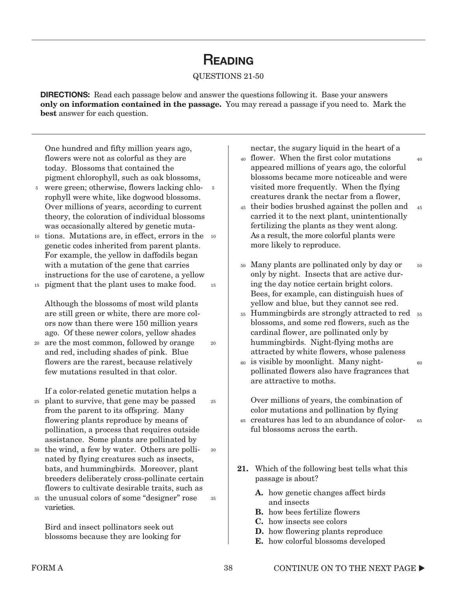## **READING**

### QUESTIONS 21-50

**DIRECTIONS:** Read each passage below and answer the questions following it. Base your answers **only on information contained in the passage.** You may reread a passage if you need to. Mark the **best** answer for each question.

One hundred and fifty million years ago, flowers were not as colorful as they are today. Blossoms that contained the pigment chlorophyll, such as oak blossoms,

- <sup>5</sup> were green; otherwise, flowers lacking chlorophyll were white, like dogwood blossoms. Over millions of years, according to current theory, the coloration of individual blossoms was occasionally altered by genetic muta-5
- 10 tions. Mutations are, in effect, errors in the 10 genetic codes inherited from parent plants. For example, the yellow in daffodils began with a mutation of the gene that carries instructions for the use of carotene, a yellow
- pigment that the plant uses to make food. 15 15

Although the blossoms of most wild plants are still green or white, there are more colors now than there were 150 million years ago. Of these newer colors, yellow shades

are the most common, followed by orange 20 and red, including shades of pink. Blue flowers are the rarest, because relatively few mutations resulted in that color. 20

If a color-related genetic mutation helps a

- plant to survive, that gene may be passed 25 from the parent to its offspring. Many flowering plants reproduce by means of pollination, a process that requires outside assistance. Some plants are pollinated by
- the wind, a few by water. Others are pollinated by flying creatures such as insects, bats, and hummingbirds. Moreover, plant breeders deliberately cross-pollinate certain flowers to cultivate desirable traits, such as 30 30
- the unusual colors of some "designer" rose 35 varieties. 35

Bird and insect pollinators seek out blossoms because they are looking for nectar, the sugary liquid in the heart of a

flower. When the first color mutations 40 appeared millions of years ago, the colorful blossoms became more noticeable and were visited more frequently. When the flying creatures drank the nectar from a flower,

40

60

- 45 their bodies brushed against the pollen and carried it to the next plant, unintentionally fertilizing the plants as they went along. As a result, the more colorful plants were more likely to reproduce. 45
- Many plants are pollinated only by day or 50 only by night. Insects that are active during the day notice certain bright colors. Bees, for example, can distinguish hues of yellow and blue, but they cannot see red. 50
- Hummingbirds are strongly attracted to red 55 55 blossoms, and some red flowers, such as the cardinal flower, are pollinated only by humming birds. Night-flying moths are attracted by white flowers, whose paleness
- is visible by moonlight. Many night-60 pollinated flowers also have fragrances that are attractive to moths.

Over millions of years, the combination of color mutations and pollination by flying

- creatures has led to an abundance of color-65 ful blossoms across the earth. 65
- **21.** Which of the following best tells what this passage is about?
	- **A.** how genetic changes affect birds and insects
	- **B.** how bees fertilize flowers
	- **C.** how insects see colors
	- **D.** how flowering plants reproduce
	- **E.** how colorful blossoms developed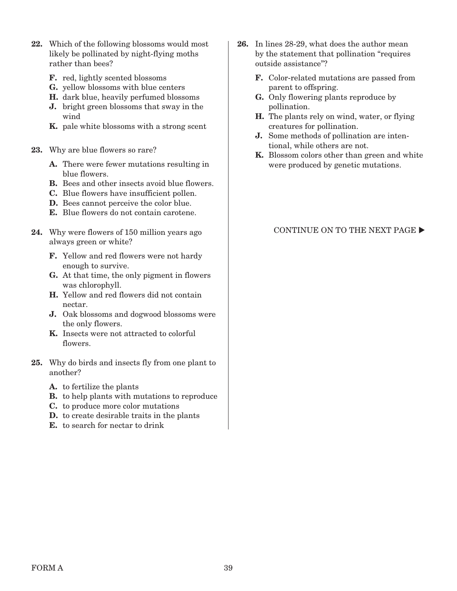- **22.** Which of the following blossoms would most likely be pollinated by night-flying moths rather than bees?
	- **F.** red, lightly scented blossoms
	- **G.** yellow blossoms with blue centers
	- **H.** dark blue, heavily perfumed blossoms
	- **J.** bright green blossoms that sway in the wind
	- **K.** pale white blossoms with a strong scent
- **23.** Why are blue flowers so rare?
	- **A.** There were fewer mutations resulting in blue flowers.
	- **B.** Bees and other insects avoid blue flowers.
	- **C.** Blue flowers have insufficient pollen.
	- **D.** Bees cannot perceive the color blue.
	- **E.** Blue flowers do not contain carotene.
- **24.** Why were flowers of 150 million years ago always green or white?
	- **F.** Yellow and red flowers were not hardy enough to survive.
	- **G.** At that time, the only pigment in flowers was chlorophyll.
	- **H.** Yellow and red flowers did not contain nectar.
	- **J.** Oak blossoms and dogwood blossoms were the only flowers.
	- **K.** Insects were not attracted to colorful flowers.
- **25.** Why do birds and insects fly from one plant to another?
	- **A.** to fertilize the plants
	- **B.** to help plants with mutations to reproduce
	- **C.** to produce more color mutations
	- **D.** to create desirable traits in the plants
	- **E.** to search for nectar to drink
- **26.** In lines 28-29, what does the author mean by the statement that pollination "requires outside assistance"?
	- **F.** Color-related mutations are passed from parent to offspring.
	- **G.** Only flowering plants reproduce by pollination.
	- **H.** The plants rely on wind, water, or flying creatures for pollination.
	- **J.** Some methods of pollination are intentional, while others are not.
	- **K.** Blossom colors other than green and white were produced by genetic mutations.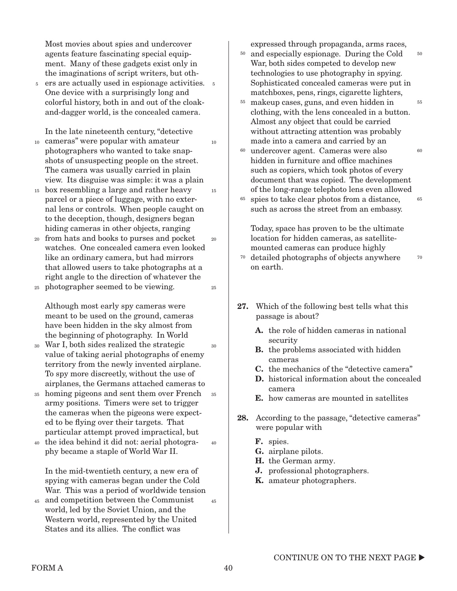Most movies about spies and undercover agents feature fascinating special equipment. Many of these gadgets exist only in the imaginations of script writers, but oth-

ers are actually used in espionage activities. 5 One device with a surprisingly long and colorful history, both in and out of the cloakand-dagger world, is the concealed camera. 5

In the late nineteenth century, "detective

- cameras" were popular with amateur 10 photographers who wanted to take snapshots of unsuspecting people on the street. The camera was usually carried in plain view. Its disguise was simple: it was a plain 10
- box resembling a large and rather heavy 15 parcel or a piece of luggage, with no external lens or controls. When people caught on to the deception, though, designers began hiding cameras in other objects, ranging 15
- from hats and books to purses and pocket 20 watches. One concealed camera even looked like an ordinary camera, but had mirrors that allowed users to take photographs at a right angle to the direction of whatever the 20
- photographer seemed to be viewing. 25

Although most early spy cameras were meant to be used on the ground, cameras have been hidden in the sky almost from the beginning of photography. In World

- War I, both sides realized the strategic 30 value of taking aerial photographs of enemy territory from the newly invented airplane. To spy more discreetly, without the use of airplanes, the Germans attached cameras to 30
- homing pigeons and sent them over French 35 army positions. Timers were set to trigger the cameras when the pigeons were expected to be flying over their targets. That particular attempt proved impractical, but 35
- the idea behind it did not: aerial photogra-40 phy became a staple of World War II. 40

In the mid-twentieth century, a new era of spying with cameras began under the Cold War. This was a period of worldwide tension

and competition between the Communist 45 world, led by the Soviet Union, and the Western world, represented by the United States and its allies. The conflict was 45 expressed through propaganda, arms races,

<sup>50</sup> and especially espionage. During the Cold War, both sides competed to develop new technologies to use photography in spying. Sophisticated concealed cameras were put in matchboxes, pens, rings, cigarette lighters, 50

55

70

- makeup cases, guns, and even hidden in 55 clothing, with the lens concealed in a button. Almost any object that could be carried without attracting attention was probably made into a camera and carried by an
- undercover agent. Cameras were also hidden in furniture and office machines such as copiers, which took photos of every document that was copied. The development of the long-range telephoto lens even allowed 60  $60$ 65
- spies to take clear photos from a distance, such as across the street from an embassy. 65

Today, space has proven to be the ultimate location for hidden cameras, as satellitemounted cameras can produce highly

- detailed photographs of objects anywhere 70 on earth.
- **27.** Which of the following best tells what this passage is about?
	- **A.** the role of hidden cameras in national security
	- **B.** the problems associated with hidden cameras
	- **C.** the mechanics of the "detective camera"
	- **D.** historical information about the concealed camera
	- **E.** how cameras are mounted in satellites
- **28.** According to the passage, "detective cameras" were popular with
	- **F.** spies.
	- **G.** airplane pilots.
	- **H.** the German army.
	- **J.** professional photographers.
	- **K.** amateur photographers.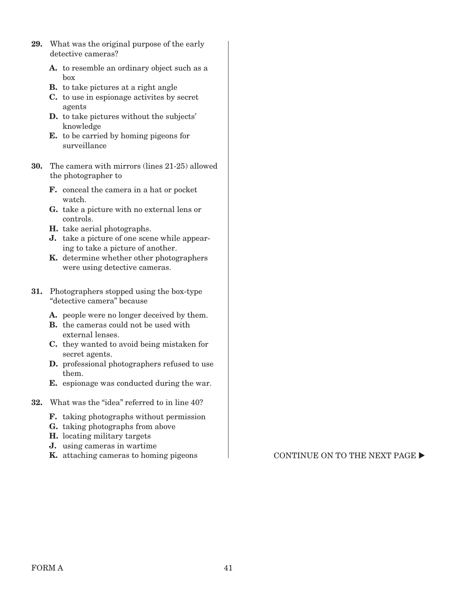- **29.** What was the original purpose of the early detective cameras?
	- **A.** to resemble an ordinary object such as a box
	- **B.** to take pictures at a right angle
	- **C.** to use in espionage activites by secret agents
	- **D.** to take pictures without the subjects' knowledge
	- **E.** to be carried by homing pigeons for surveillance
- **30.** The camera with mirrors (lines 21-25) allowed the photographer to
	- **F.** conceal the camera in a hat or pocket watch.
	- **G.** take a picture with no external lens or controls.
	- **H.** take aerial photographs.
	- **J.** take a picture of one scene while appearing to take a picture of another.
	- **K.** determine whether other photographers were using detective cameras.
- **31.** Photographers stopped using the box-type "detective camera" because
	- **A.** people were no longer deceived by them.
	- **B.** the cameras could not be used with external lenses.
	- **C.** they wanted to avoid being mistaken for secret agents.
	- **D.** professional photographers refused to use them.
	- **E.** espionage was conducted during the war.
- **32.** What was the "idea" referred to in line 40?
	- **F.** taking photographs without permission
	- **G.** taking photographs from above
	- **H.** locating military targets
	- **J.** using cameras in wartime
	-

**K.** attaching cameras to homing pigeons  $\blacksquare$  CONTINUE ON TO THE NEXT PAGE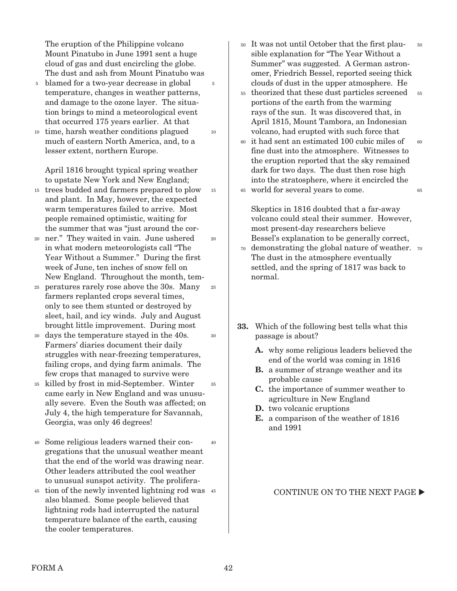The eruption of the Philippine volcano Mount Pinatubo in June 1991 sent a huge cloud of gas and dust encircling the globe. The dust and ash from Mount Pinatubo was

5

10

20

25

30

- blamed for a two-year decrease in global 5 temperature, changes in weather patterns, and damage to the ozone layer. The situation brings to mind a meteorological event that occurred 175 years earlier. At that
- 10 time, harsh weather conditions plagued much of eastern North America, and, to a lesser extent, northern Europe.

April 1816 brought typical spring weather to upstate New York and New England;

- trees budded and farmers prepared to plow 15 and plant. In May, however, the expected warm temperatures failed to arrive. Most people remained optimistic, waiting for the summer that was "just around the cor-15
- ner." They waited in vain. June ushered 20 in what modern meteorologists call "The Year Without a Summer." During the first week of June, ten inches of snow fell on New England. Throughout the month, tem-
- peratures rarely rose above the 30s. Many 25 farmers replanted crops several times, only to see them stunted or destroyed by sleet, hail, and icy winds. July and August brought little improvement. During most
- days the temperature stayed in the 40s. 30 Farmers' diaries document their daily struggles with near-freezing temperatures, failing crops, and dying farm animals. The few crops that managed to survive were
- killed by frost in mid-September. Winter 35 came early in New England and was unusually severe. Even the South was affected; on July 4, the high temperature for Savannah, Georgia, was only 46 degrees! 35
- Some religious leaders warned their con-40 gregations that the unusual weather meant that the end of the world was drawing near. Other leaders attributed the cool weather to unusual sunspot activity. The prolifera- $40$
- 45 tion of the newly invented lightning rod was 45 also blamed. Some people believed that lightning rods had interrupted the natural temperature balance of the earth, causing the cooler temperatures.
- It was not until October that the first plau-50 sible explanation for "The Year Without a Summer" was suggested. A German astronomer, Friedrich Bessel, reported seeing thick clouds of dust in the upper atmosphere. He 50
- theorized that these dust particles screened portions of the earth from the warming rays of the sun. It was discovered that, in April 1815, Mount Tambora, an Indonesian volcano, had erupted with such force that 55 55
- it had sent an estimated 100 cubic miles of fine dust into the atmosphere. Witnesses to the eruption reported that the sky remained dark for two days. The dust then rose high into the stratosphere, where it encircled the world for several years to come. 60 65 60 65

Skeptics in 1816 doubted that a far-away volcano could steal their summer. However, most present-day researchers believe Bessel's explanation to be generally correct,

- demonstrating the global nature of weather. 70 70 The dust in the atmosphere eventually settled, and the spring of 1817 was back to normal.
- **33.** Which of the following best tells what this passage is about?
	- **A.** why some religious leaders believed the end of the world was coming in 1816
	- **B.** a summer of strange weather and its probable cause
	- **C.** the importance of summer weather to agriculture in New England
	- **D.** two volcanic eruptions
	- **E.** a comparison of the weather of 1816 and 1991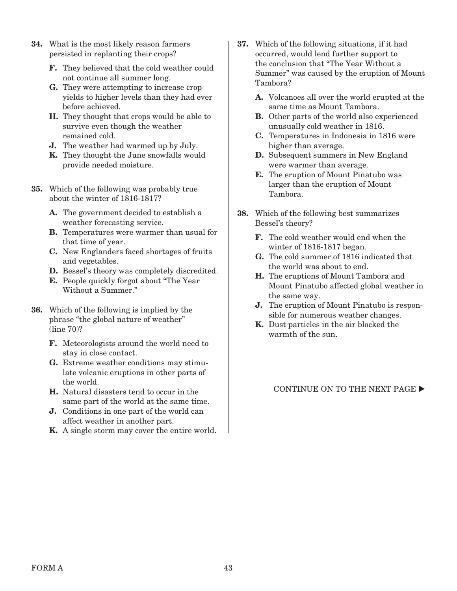- **34.** What is the most likely reason farmers persisted in replanting their crops?
	- **F.** They believed that the cold weather could not continue all summer long.
	- **G.** They were attempting to increase crop yields to higher levels than they had ever before achieved.
	- **H.** They thought that crops would be able to survive even though the weather remained cold.
	- **J.** The weather had warmed up by July.
	- **K.** They thought the June snowfalls would provide needed moisture.
- **35.** Which of the following was probably true about the winter of 1816-1817?
	- **A.** The government decided to establish a weather forecasting service.
	- **B.** Temperatures were warmer than usual for that time of year.
	- **C.** New Englanders faced shortages of fruits and vegetables.
	- **D.** Bessel's theory was completely discredited.
	- **E.** People quickly forgot about "The Year Without a Summer."
- **36.** Which of the following is implied by the phrase "the global nature of weather" (line 70)?
	- **F.** Meteorologists around the world need to stay in close contact.
	- **G.** Extreme weather conditions may stimulate volcanic eruptions in other parts of the world.
	- **H.** Natural disasters tend to occur in the same part of the world at the same time.
	- **J.** Conditions in one part of the world can affect weather in another part.
	- **K.** A single storm may cover the entire world.
- **37.** Which of the following situations, if it had occurred, would lend further support to the conclusion that "The Year Without a Summer" was caused by the eruption of Mount Tambora?
	- **A.** Volcanoes all over the world erupted at the same time as Mount Tambora.
	- **B.** Other parts of the world also experienced unusually cold weather in 1816.
	- **C.** Temperatures in Indonesia in 1816 were higher than average.
	- **D.** Subsequent summers in New England were warmer than average.
	- **E.** The eruption of Mount Pinatubo was larger than the eruption of Mount Tambora.
- **38.** Which of the following best summarizes Bessel's theory?
	- **F.** The cold weather would end when the winter of 1816-1817 began.
	- **G.** The cold summer of 1816 indicated that the world was about to end.
	- **H.** The eruptions of Mount Tambora and Mount Pinatubo affected global weather in the same way.
	- **J.** The eruption of Mount Pinatubo is responsible for numerous weather changes.
	- **K.** Dust particles in the air blocked the warmth of the sun.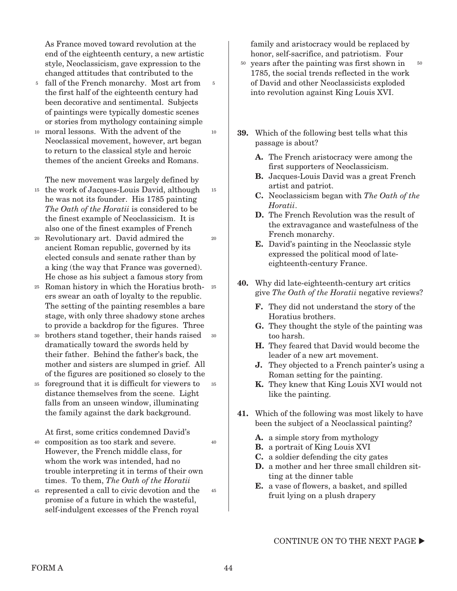As France moved toward revolution at the end of the eighteenth century, a new artistic style, Neoclassicism, gave expression to the changed attitudes that contributed to the

5

10

15

20

- <sup>5</sup> fall of the French monarchy. Most art from the first half of the eighteenth century had been decorative and sentimental. Subjects of paintings were typically domestic scenes or stories from mythology containing simple
- moral lessons. With the advent of the 10 Neoclassical movement, however, art began to return to the classical style and heroic themes of the ancient Greeks and Romans.

The new movement was largely defined by

- <sup>15</sup> the work of Jacques-Louis David, although he was not its founder. His 1785 painting The Oath of the Horatii is considered to be the finest example of Neoclassicism. It is also one of the finest examples of French
- Revolutionary art. David admired the 20 ancient Roman republic, governed by its elected consuls and senate rather than by a king (the way that France was governed). He chose as his subject a famous story from
- Roman history in which the Horatius broth-25 25 ers swear an oath of loyalty to the republic. The setting of the painting resembles a bare stage, with only three shadowy stone arches to provide a backdrop for the figures. Three
- brothers stand together, their hands raised 30 30 dramatically toward the swords held by their father. Behind the father's back, the mother and sisters are slumped in grief. All of the figures are positioned so closely to the
- foreground that it is difficult for viewers to 35 distance themselves from the scene. Light falls from an unseen window, illuminating the family against the dark background. 35

At first, some critics condemned David's

- composition as too stark and severe. 40 However, the French middle class, for whom the work was intended, had no trouble interpreting it in terms of their own times. To them, The Oath of the Horatii
- represented a call to civic devotion and the 45 promise of a future in which the wasteful, self-indulgent excesses of the French royal 45

family and aristocracy would be replaced by honor, self-sacrifice, and patriotism. Four

- $50$  years after the painting was first shown in  $50$ 1785, the social trends reflected in the work of David and other Neoclassicists exploded into revolution against King Louis XVI.
- **39.** Which of the following best tells what this passage is about?
	- **A.** The French aristocracy were among the first supporters of Neoclassicism.
	- **B.** Jacques-Louis David was a great French artist and patriot.
	- **C.** Neoclassicism began with The Oath of the Horatii.
	- **D.** The French Revolution was the result of the extravagance and wastefulness of the French monarchy.
	- **E.** David's painting in the Neoclassic style expressed the political mood of lateeighteenth-century France.
- **40.** Why did late-eighteenth-century art critics give The Oath of the Horatii negative reviews?
	- **F.** They did not understand the story of the Horatius brothers.
	- **G.** They thought the style of the painting was too harsh.
	- **H.** They feared that David would become the leader of a new art movement.
	- **J.** They objected to a French painter's using a Roman setting for the painting.
	- **K.** They knew that King Louis XVI would not like the painting.
- **41.** Which of the following was most likely to have been the subject of a Neoclassical painting?
	- **A.** a simple story from mythology
	- **B.** a portrait of King Louis XVI
	- **C.** a soldier defending the city gates
	- **D.** a mother and her three small children sitting at the dinner table
	- **E.** a vase of flowers, a basket, and spilled fruit lying on a plush drapery

CONTINUE ON TO THE NEXT PAGE  $\blacktriangleright$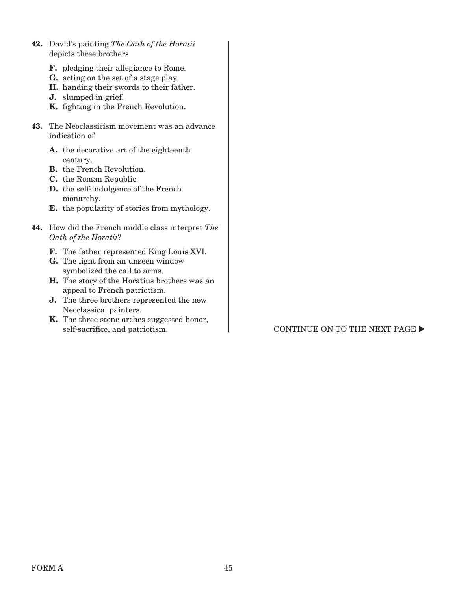- **42.** David's painting The Oath of the Horatii depicts three brothers
	- **F.** pledging their allegiance to Rome.
	- **G.** acting on the set of a stage play.
	- **H.** handing their swords to their father.
	- **J.** slumped in grief.
	- **K.** fighting in the French Revolution.
- **43.** The Neoclassicism movement was an advance indication of
	- **A.** the decorative art of the eighteenth century.
	- **B.** the French Revolution.
	- **C.** the Roman Republic.
	- **D.** the self-indulgence of the French monarchy.
	- **E.** the popularity of stories from mythology.
- **44.** How did the French middle class interpret The Oath of the Horatii?
	- **F.** The father represented King Louis XVI.
	- **G.** The light from an unseen window symbolized the call to arms.
	- **H.** The story of the Horatius brothers was an appeal to French patriotism.
	- **J.** The three brothers represented the new Neoclassical painters.
	- **K.** The three stone arches suggested honor,

### self-sacrifice, and patriotism.  $\qquad \qquad$  CONTINUE ON TO THE NEXT PAGE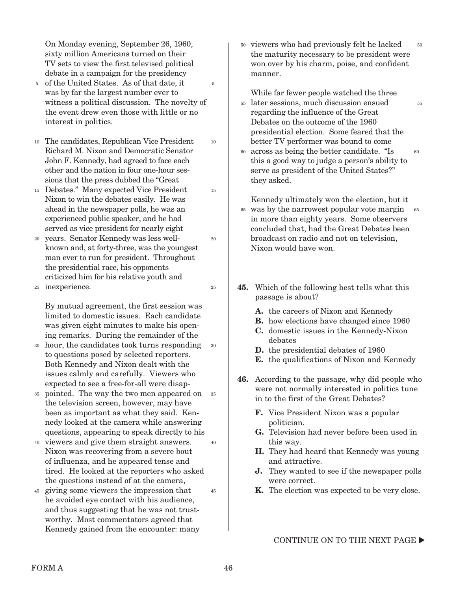On Monday evening, September 26, 1960, sixty million Americans turned on their TV sets to view the first televised political debate in a campaign for the presidency

- 5 of the United States. As of that date, it was by far the largest number ever to witness a political discussion. The novelty of the event drew even those with little or no interest in politics. 5
- The candidates, Republican Vice President 10 Richard M. Nixon and Democratic Senator John F. Kennedy, had agreed to face each other and the nation in four one-hour sessions that the press dubbed the "Great

10

15

20

25

- Debates." Many expected Vice President 15 Nixon to win the debates easily. He was ahead in the newspaper polls, he was an experienced public speaker, and he had served as vice president for nearly eight
- years. Senator Kennedy was less wellknown and, at forty-three, was the youngest man ever to run for president. Throughout the presidential race, his opponents criticized him for his relative youth and 20
- inexperience. 25

By mutual agreement, the first session was limited to domestic issues. Each candidate was given eight minutes to make his opening remarks. During the remainder of the

- hour, the candidates took turns responding 30 to questions posed by selected reporters. Both Kennedy and Nixon dealt with the issues calmly and carefully. Viewers who expected to see a free-for-all were disap-30
- pointed. The way the two men appeared on the television screen, however, may have been as important as what they said. Kennedy looked at the camera while answering questions, appearing to speak directly to his 35 35
- viewers and give them straight answers. 40 Nixon was recovering from a severe bout of influenza, and he appeared tense and tired. He looked at the reporters who asked the questions instead of at the camera, 40
- giving some viewers the impression that 45 he avoided eye contact with his audience, and thus suggesting that he was not trustworthy. Most commentators agreed that Kennedy gained from the encounter: many

50 viewers who had previously felt he lacked the maturity necessary to be president were won over by his charm, poise, and confident manner. 50

55

While far fewer people watched the three later sessions, much discussion ensued regarding the influence of the Great Debates on the outcome of the 1960 presidential election. Some feared that the better TV performer was bound to come 55

across as being the better candidate. "Is 60 this a good way to judge a person's ability to serve as president of the United States?" they asked. 60

Kennedy ultimately won the election, but it was by the narrowest popular vote margin 65 in more than eighty years. Some observers concluded that, had the Great Debates been broadcast on radio and not on television, Nixon would have won. 65

- **45.** Which of the following best tells what this passage is about?
	- **A.** the careers of Nixon and Kennedy
	- **B.** how elections have changed since 1960
	- **C.** domestic issues in the Kennedy-Nixon debates
	- **D.** the presidential debates of 1960
	- **E.** the qualifications of Nixon and Kennedy
- **46.** According to the passage, why did people who were not normally interested in politics tune in to the first of the Great Debates?
	- **F.** Vice President Nixon was a popular politician.
	- **G.** Television had never before been used in this way.
	- **H.** They had heard that Kennedy was young and attractive.
	- **J.** They wanted to see if the newspaper polls were correct.
	- **K.** The election was expected to be very close.

CONTINUE ON TO THE NEXT PAGE  $\blacktriangleright$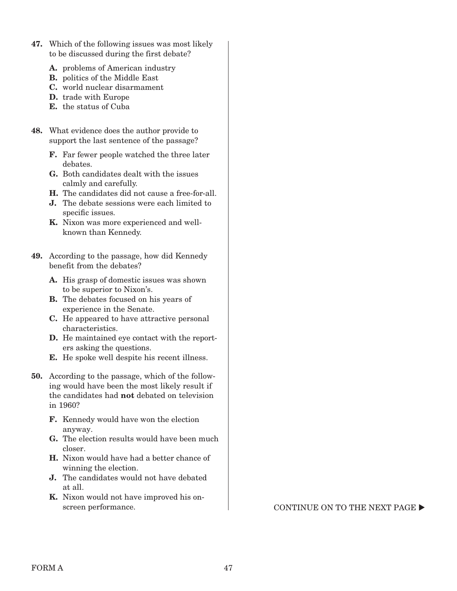- **47.** Which of the following issues was most likely to be discussed during the first debate?
	- A. problems of American industry
	- **B.** politics of the Middle East
	- **C.** world nuclear disarmament
	- **D.** trade with Europe
	- **E.** the status of Cuba
- **48.** What evidence does the author provide to support the last sentence of the passage?
	- **F.** Far fewer people watched the three later debates
	- **G.** Both candidates dealt with the issues calmly and carefully.
	- **H.** The candidates did not cause a free-for-all.
	- **J.** The debate sessions were each limited to specific issues.
	- **K.** Nixon was more experienced and wellknown than Kennedy.
- **49.** According to the passage, how did Kennedy benefit from the debates?
	- **A.** His grasp of domestic issues was shown to be superior to Nixon's.
	- **B.** The debates focused on his years of experience in the Senate.
	- **C.** He appeared to have attractive personal characteristics.
	- **D.** He maintained eye contact with the reporters asking the questions.
	- **E.** He spoke well despite his recent illness.
- **50.** According to the passage, which of the following would have been the most likely result if the candidates had **not** debated on television in 1960?
	- **F.** Kennedy would have won the election anyway.
	- **G.** The election results would have been much closer.
	- **H.** Nixon would have had a better chance of winning the election.
	- **J.** The candidates would not have debated at all.
	- **K.** Nixon would not have improved his on-

screen performance.  $\blacksquare$  CONTINUE ON TO THE NEXT PAGE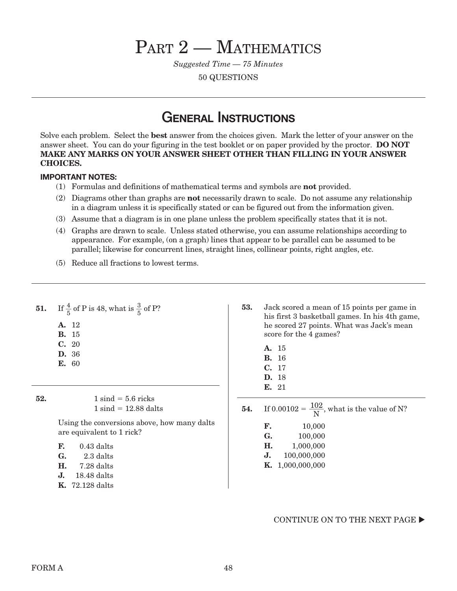# PART 2 - MATHEMATICS

Suggested Time — 75 Minutes

50 QUESTIONS

## **GENERAL INSTRUCTIONS**

Solve each problem. Select the **best** answer from the choices given. Mark the letter of your answer on the answer sheet. You can do your figuring in the test booklet or on paper provided by the proctor. **DO NOT MAKE ANY MARKS ON YOUR ANSWER SHEET OTHER THAN FILLING IN YOUR ANSWER CHOICES.**

### **IMPORTANT NOTES:**

- (1) Formulas and definitions of mathematical terms and symbols are **not** provided.
- (2) Diagrams other than graphs are **not** necessarily drawn to scale. Do not assume any relationship in a diagram unless it is specifically stated or can be figured out from the information given.
- (3) Assume that a diagram is in one plane unless the problem specifically states that it is not.
- (4) Graphs are drawn to scale. Unless stated otherwise, you can assume relationships according to appearance. For example, (on a graph) lines that appear to be parallel can be assumed to be parallel; likewise for concurrent lines, straight lines, collinear points, right angles, etc.
- (5) Reduce all fractions to lowest terms.

| 51. | If $\frac{4}{5}$ of P is 48, what is $\frac{3}{5}$ of P?<br>A. 12<br><b>B.</b> 15<br>C. 20<br>D. 36<br><b>E.</b> 60                                                                                                                                  | 53. | Jack scored a mean of 15 points per game in<br>his first 3 basketball games. In his 4th game,<br>he scored 27 points. What was Jack's mean<br>score for the 4 games?<br>15<br><b>A.</b><br><b>B.</b> 16<br>C. 17<br><b>D.</b> 18<br><b>E.</b> 21 |
|-----|------------------------------------------------------------------------------------------------------------------------------------------------------------------------------------------------------------------------------------------------------|-----|--------------------------------------------------------------------------------------------------------------------------------------------------------------------------------------------------------------------------------------------------|
| 52. | $1 \text{ sind} = 5.6 \text{ ricks}$<br>$1 \sin d = 12.88$ dalts<br>Using the conversions above, how many dalts<br>are equivalent to 1 rick?<br>$0.43$ dalts<br>F.<br>G.<br>2.3 dalts<br>7.28 dalts<br>Н.<br>18.48 dalts<br>J.<br>72.128 dalts<br>Κ. | 54. | If $0.00102 = \frac{102}{N}$ , what is the value of N?<br>F.<br>10,000<br>G.<br>100,000<br>Н.<br>1,000,000<br>J.<br>100,000,000<br>K. 1,000,000,000                                                                                              |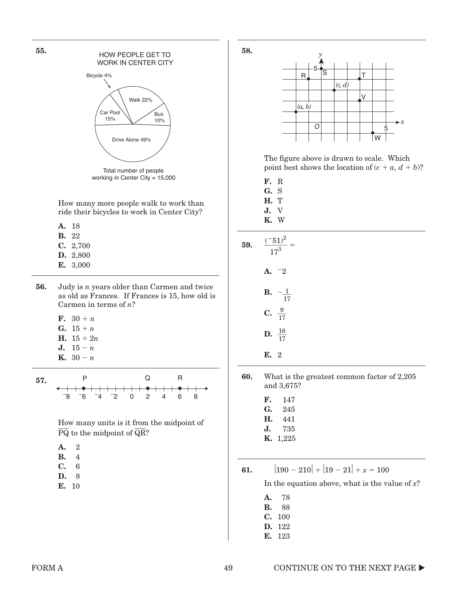

How many more people walk to work than ride their bicycles to work in Center City?

- **A.** 18
- **B.** 22
- **C.** 2,700
- **D.** 2,800
- **E.** 3,000
- **56.** Judy is n years older than Carmen and twice as old as Frances. If Frances is 15, how old is Carmen in terms of  $n$ ?
	- **F.**  $30 + n$
	- **G.**  $15 + n$
	- **H.**  $15 + 2n$
	- **J.**  $15 n$
	- **K.**  $30 n$



How many units is it from the midpoint of  $\overline{PQ}$  to the midpoint of  $\overline{QR}$ ?

| ۰, |  |
|----|--|
|    |  |

- **B.** 14
- **C.** 16
- **D.** 18
- **E.** 10





The figure above is drawn to scale. Which point best shows the location of  $(c + a, d + b)$ ?

- **F.** R **G.** S
- **H.** T
- **J.** V
- **K.** W

| <b>59.</b> $\frac{(-51)^2}{17^3} =$ |
|-------------------------------------|
| A. $-2$                             |
| <b>B.</b> $-\frac{1}{17}$           |
| C. $\frac{9}{17}$                   |
| <b>D.</b> $\frac{16}{17}$           |
| E. 2                                |

**60.** What is the greatest common factor of 2,205 and 3,675?

- **F.** 147
- **G.** 245
- **H.** 441
- **J.** 735 **K.** 1,225
- **61.** - $190 - 210 + |19 - 21| + x = 100$

In the equation above, what is the value of  $x$ ?

- **A.** 178 **B.** 188
- 
- **C.** 100
- **D.** 122 **E.** 123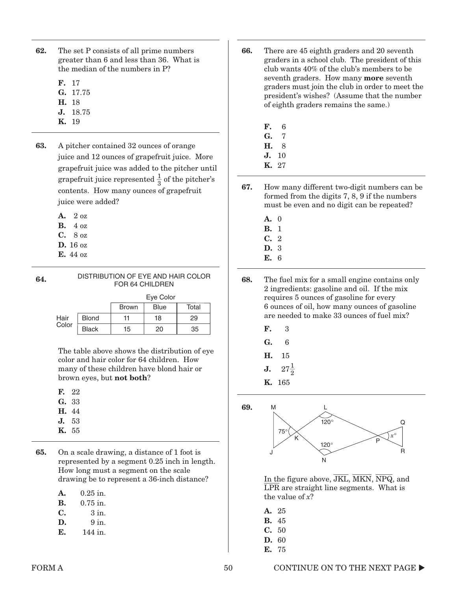- **62.** The set P consists of all prime numbers greater than 6 and less than 36. What is the median of the numbers in P?
	- **F.** 17
	- **G.** 17.75
	- **H.** 18
	- **J.** 18.75
	- **K.** 19
- **63.** A pitcher contained 32 ounces of orange juice and 12 ounces of grapefruit juice. More grapefruit juice was added to the pitcher until grapefruit juice represented  $\frac{1}{2}$  $\frac{1}{3}$  of the pitcher's contents. How many ounces of grapefruit juice were added?
	- **A.** 2 oz
	- **B.** 4 oz
	- **C.** 8 oz
	- **D.** 16 oz
	- **E.** 44 oz
- **64.** DISTRIBUTION OF EYE AND HAIR COLOR FOR 64 CHILDREN

| Eve Color |  |
|-----------|--|

|       |              | <b>Brown</b> | <b>Blue</b> | Total |
|-------|--------------|--------------|-------------|-------|
| Hair  | <b>Blond</b> | 11           | 18          | 29    |
| Color | <b>Black</b> | 15           | 20          | 35    |

The table above shows the distribution of eye color and hair color for 64 children. How many of these children have blond hair or brown eyes, but **not both**?

| н | 22 |
|---|----|
| 1 | 33 |

- **H.** 44
- **J.** 53
- **K.** 55

**65.** On a scale drawing, a distance of 1 foot is represented by a segment 0.25 inch in length. How long must a segment on the scale drawing be to represent a 36-inch distance?

| A. | $0.25$ in. |  |
|----|------------|--|
|    |            |  |

- **B.** 0.75 in.
- $C.$   $3 \text{ in.}$
- $D. 9 in.$
- **E.** 144 in.
- **66.** There are 45 eighth graders and 20 seventh graders in a school club. The president of this club wants 40% of the club's members to be seventh graders. How many **more** seventh graders must join the club in order to meet the president's wishes? (Assume that the number of eighth graders remains the same.)
	- **F.** 6 **G.** 7 **H.** 8
	- **J.** 10
	- **K.** 27

**67.** How many different two-digit numbers can be formed from the digits 7, 8, 9 if the numbers must be even and no digit can be repeated?

- **A.** 0
- **B.** 1
- **C.** 2 **D.** 3
- 
- **E.** 6

**68.** The fuel mix for a small engine contains only 2 ingredients: gasoline and oil. If the mix requires 5 ounces of gasoline for every 6 ounces of oil, how many ounces of gasoline are needed to make 33 ounces of fuel mix?

- **F.** 3
- **G.** 6
- **H.** 15
- **J.**  $27\frac{1}{2}$
- **K.** 165

**69.**



In the figure above,  $\overline{JKL}$ ,  $\overline{MKN}$ ,  $\overline{NPQ}$ , and  $\overline{\text{LPR}}$  are straight line segments. What is the value of  $x$ ?

- **A.** 25 **B.** 45
- **C.** 50
- **D.** 60
- **E.** 75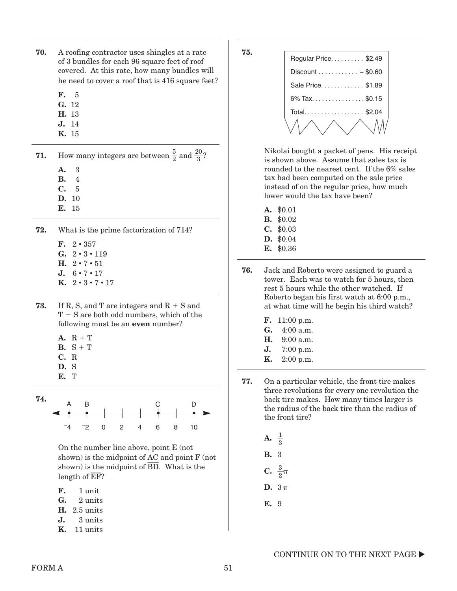- **70.** A roofing contractor uses shingles at a rate of 3 bundles for each 96 square feet of roof covered. At this rate, how many bundles will he need to cover a roof that is 416 square feet?
	- **F.** 5
	- **G.** 12
	- **H.** 13
	- **J.** 14
	- **K.** 15
- **71.** How many integers are between  $\frac{5}{2}$  and  $\frac{20}{3}$ ?
	- **A.** 3
	- **B.** 4
	- **C.** 5
	- **D.** 10
	- **E.** 15
- **72.** What is the prime factorization of 714?
	- **F.**  $2 \cdot 357$
	- **G.**  $2 \cdot 3 \cdot 119$
	- **H.**  $2 \cdot 7 \cdot 51$
	- **J.**  $6 \cdot 7 \cdot 17$
	- **K.**  $2 \cdot 3 \cdot 7 \cdot 17$
- **73.** If R, S, and T are integers and  $R + S$  and  $T-S$  are both odd numbers, which of the following must be an **even** number?
	- $A. R + T$
	- **B.**  $S + T$
	- **C.** R
	- **D.** S
	- **E.** T



On the number line above, point E (not shown) is the midpoint of  $\overline{AC}$  and point  $F$  (not shown) is the midpoint of BD. What is the length of  $E$ F?

- **F.** 1 unit
- **G.** 2 units
- **H.** 2.5 units
- **J.** 3 units
- **K.** 11 units

**75.**

| Regular Price. \$2.49                   |
|-----------------------------------------|
| $Discount \ldots \ldots \ldots - $0.60$ |
| Sale Price \$1.89                       |
| 6% Tax. \$0.15                          |
| Total \$2.04                            |
|                                         |

Nikolai bought a packet of pens. His receipt is shown above. Assume that sales tax is rounded to the nearest cent. If the 6% sales tax had been computed on the sale price instead of on the regular price, how much lower would the tax have been?

- **A.** \$0.01
- **B.** \$0.02
- **C.** \$0.03
- **D.** \$0.04
- **E.** \$0.36
- **76.** Jack and Roberto were assigned to guard a tower. Each was to watch for 5 hours, then rest 5 hours while the other watched. If Roberto began his first watch at 6:00 p.m., at what time will he begin his third watch?
	- **F.** 11:00 p.m.
	- G. 4:00 a.m.
	- **H.** 9:00 a.m.
	- **J.** 7:00 p.m.
	- **K.** 2:00 p.m.
- **77.** On a particular vehicle, the front tire makes three revolutions for every one revolution the back tire makes. How many times larger is the radius of the back tire than the radius of the front tire?
	- **A.** \_\_<sup>1</sup>  $\frac{1}{3}$ **B.** 3 **C.**  $\frac{3}{2}\pi$ D.  $3\pi$
	- **E.** 9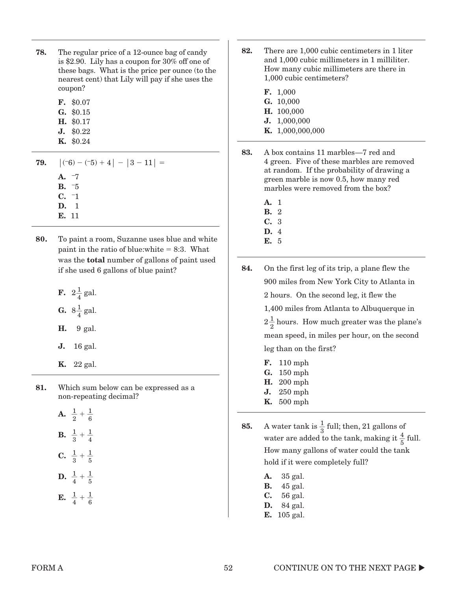| 78. | The regular price of a 12-ounce bag of candy       |
|-----|----------------------------------------------------|
|     | is \$2.90. Lily has a coupon for $30\%$ off one of |
|     | these bags. What is the price per ounce (to the    |
|     | nearest cent) that Lily will pay if she uses the   |
|     | coupon?                                            |

| F. | \$0.07 |
|----|--------|
|    |        |

- **G.** \$0.15 **H.** \$0.17
- **J.** \$0.22
- **K.** \$0.24

**79.** (  $(-6) - (-5) + 4 - 3 - 11 =$ **A.** –7 **B.** –5

**C.** –1

- **D.** 1
- **E.** 11
- **80.** To paint a room, Suzanne uses blue and white paint in the ratio of blue:white  $= 8:3$ . What was the **total** number of gallons of paint used if she used 6 gallons of blue paint?
	- **F.**  $2\frac{1}{4}$  gal. **G.**  $8\frac{1}{4}$  gal.
	- **H.** 9 gal.
	- **J.** 16 gal.
	- **K.** 22 gal.

**81.** Which sum below can be expressed as a non-repeating decimal?

- **A.**  $\frac{1}{2} + \frac{1}{6}$ 6 **B.**  $\frac{1}{3} + \frac{1}{4}$ 4 **C.**  $\frac{1}{3} + \frac{1}{5}$ 5 **D.**  $\frac{1}{4} + \frac{1}{5}$ 5
- **E.**  $\frac{1}{4} + \frac{1}{6}$ 6
- **82.** There are 1,000 cubic centimeters in 1 liter and 1,000 cubic millimeters in 1 milliliter. How many cubic millimeters are there in 1,000 cubic centimeters?
	- **F.** 1,000
	- **G.** 10,000
	- **H.** 100,000
	- **J.** 1,000,000
	- **K.** 1,000,000,000
- **83.** A box contains 11 marbles—7 red and 4 green. Five of these marbles are removed at random. If the probability of drawing a green marble is now 0.5, how many red marbles were removed from the box?
	- **A.** 1
	- **B.** 2
	- **C.** 3
	- **D.** 4 **E.** 5

**84.** On the first leg of its trip, a plane flew the 900 miles from New York City to Atlanta in 2 hours. On the second leg, it flew the 1,400 miles from Atlanta to Albuquerque in  $2\frac{1}{2}$  hours. How much greater was the plane's mean speed, in miles per hour, on the second leg than on the first?

- **F.** 110 mph
- **G.** 150 mph
- **H.** 200 mph
- **J.** 250 mph
- **K.** 500 mph
- **85.** A water tank is  $\frac{1}{3}$  full; then, 21 gallons of water are added to the tank, making it  $\frac{4}{5}$  full. How many gallons of water could the tank hold if it were completely full?
	- **A.** 35 gal. **B.** 45 gal.
	- **C.** 56 gal.
	- **D.** 84 gal.
	- **E.** 105 gal.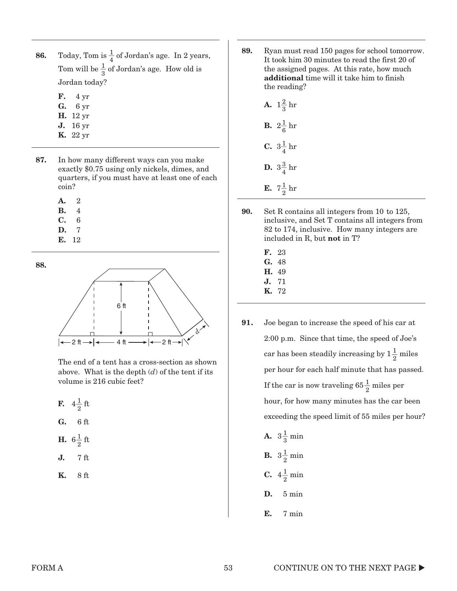- **86.** Today, Tom is  $\frac{1}{4}$  of Jordan's age. In 2 years, Tom will be  $\frac{1}{3}$  of Jordan's age. How old is Jordan today?
	- **F.** 4 yr
	- **G.** 6 yr
	- **H.** 12 yr **J.** 16 yr
	- **K.** 22 yr
- **87.** In how many different ways can you make exactly \$0.75 using only nickels, dimes, and quarters, if you must have at least one of each coin?
	- **A.** 2
	- **B.** 4
	- **C.** 6
	- **D.** 7
	- **E.** 12

**88.**



The end of a tent has a cross-section as shown above. What is the depth  $(d)$  of the tent if its volume is 216 cubic feet?

- **F.**  $4\frac{1}{2}$  ft
- **G.** 6 ft
- **H.**  $6\frac{1}{2}$  ft
- **J.** 7 ft
- **K.** 8 ft

**89.** Ryan must read 150 pages for school tomorrow. It took him 30 minutes to read the first 20 of the assigned pages. At this rate, how much **additional** time will it take him to finish the reading?

| <b>A.</b> $1\frac{2}{3}$ hr |
|-----------------------------|
| <b>B.</b> $2\frac{1}{6}$ hr |
| <b>C.</b> $3\frac{1}{4}$ hr |
| <b>D.</b> $3\frac{3}{4}$ hr |
| <b>E.</b> $7\frac{1}{2}$ hr |

- **90.** Set R contains all integers from 10 to 125, inclusive, and Set T contains all integers from 82 to 174, inclusive. How many integers are included in R, but **not** in T?
	- **F.** 23 **G.** 48 **H.** 49 **J.** 71
	- **K.** 72
- **91.** Joe began to increase the speed of his car at 2:00 p.m. Since that time, the speed of Joe's car has been steadily increasing by  $1\frac{1}{2}$  miles per hour for each half minute that has passed. If the car is now traveling  $65\frac{1}{2}$  miles per hour, for how many minutes has the car been exceeding the speed limit of 55 miles per hour?
	- **A.**  $3\frac{1}{3}$  min **B.**  $3\frac{1}{2}$  min **C.**  $4\frac{1}{2}$  min **D.** 5 min **E.** 7 min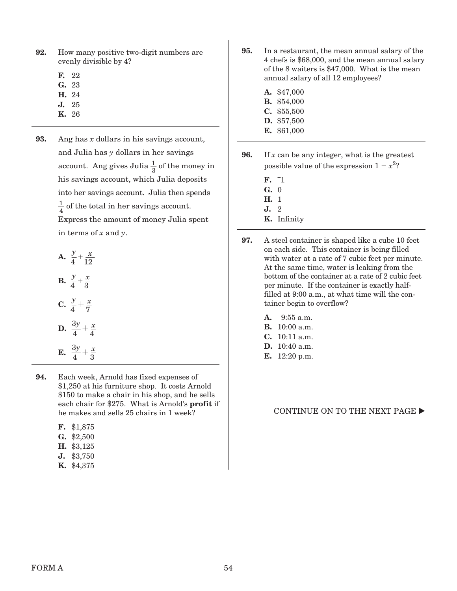| 92. | How many positive two-digit numbers are |
|-----|-----------------------------------------|
|     | evenly divisible by 4?                  |

- **F.** 22
- **G.** 23
- **H.** 24
- **J.** 25
- **K.** 26
- **93.** Ang has x dollars in his savings account, and Julia has y dollars in her savings account. Ang gives Julia  $\frac{1}{3}$  of the money in his savings account, which Julia deposits into her savings account. Julia then spends  $\frac{1}{4}$  of the total in her savings account. Express the amount of money Julia spent in terms of  $x$  and  $y$ .

**A.**  $\frac{y}{4} + \frac{x}{12}$ **B.**  $\frac{y}{4} + \frac{x}{3}$  $\mathbf{C.} \frac{y}{4}$  $rac{y}{4} + \frac{x}{7}$  $\ddot{\cdot}$ **D.**  $\frac{3y}{4} + \frac{x}{4}$ **E.**  $\frac{3y}{4} + \frac{x}{3}$  $\ddot{\cdot}$ 

**94.** Each week, Arnold has fixed expenses of \$1,250 at his furniture shop. It costs Arnold \$150 to make a chair in his shop, and he sells each chair for \$275. What is Arnold's **profit** if he makes and sells 25 chairs in 1 week?

| F. |  | \$1,875 |
|----|--|---------|
|----|--|---------|

- **G.** \$2,500
- **H.** \$3,125
- **J.** \$3,750
- **K.** \$4,375
- **95.** In a restaurant, the mean annual salary of the 4 chefs is \$68,000, and the mean annual salary of the 8 waiters is \$47,000. What is the mean annual salary of all 12 employees?
	- **A.** \$47,000
	- **B.** \$54,000
	- **C.** \$55,500
	- **D.** \$57,500
	- **E.** \$61,000
- **96.** If x can be any integer, what is the greatest possible value of the expression  $1 - x^2$ ?
	- **F.** 1 **G.** 0 **H.** 1
	- **J.** 2
	- **K.** Infinity
- **97.** A steel container is shaped like a cube 10 feet on each side. This container is being filled with water at a rate of 7 cubic feet per minute. At the same time, water is leaking from the bottom of the container at a rate of 2 cubic feet per minute. If the container is exactly halffilled at 9:00 a.m., at what time will the container begin to overflow?
	- **A.** 9:55 a.m.
	- **B.** 10:00 a.m.
	- **C.** 10:11 a.m.
	- **D.** 10:40 a.m.
	- **E.** 12:20 p.m.